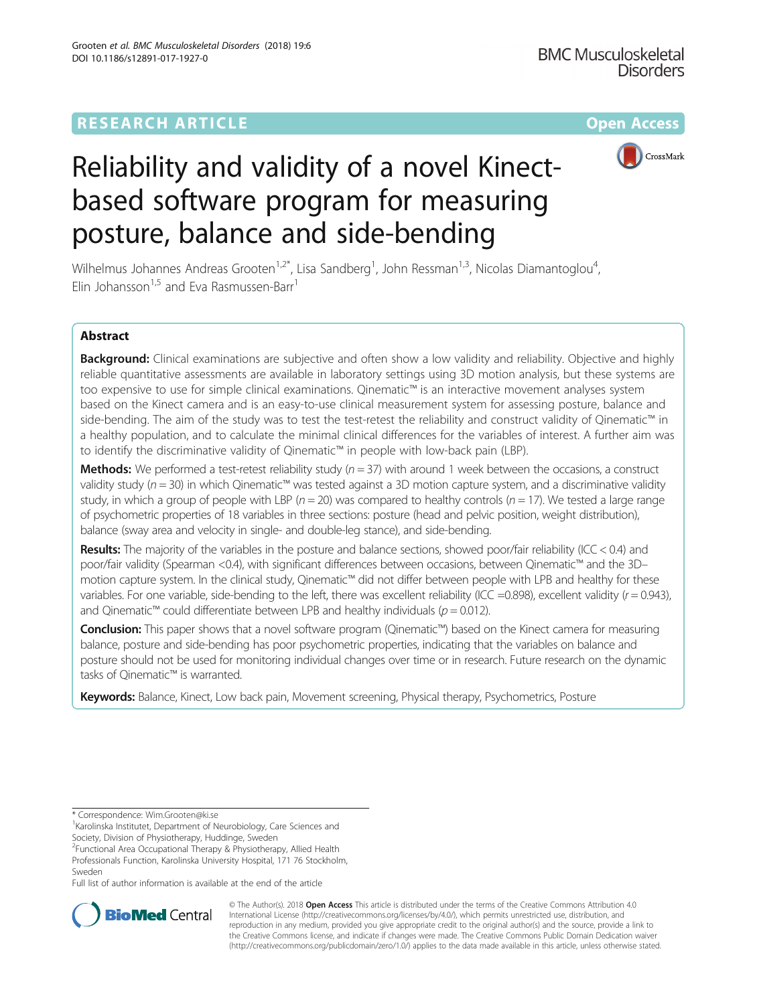

# Reliability and validity of a novel Kinectbased software program for measuring posture, balance and side-bending

Wilhelmus Johannes Andreas Grooten $^{1,2^*}$ , Lisa Sandberg $^1$ , John Ressman $^{1,3}$ , Nicolas Diamantoglou $^4$ , Elin Johansson<sup>1,5</sup> and Eva Rasmussen-Barr<sup>1</sup>

# Abstract

Background: Clinical examinations are subjective and often show a low validity and reliability. Objective and highly reliable quantitative assessments are available in laboratory settings using 3D motion analysis, but these systems are too expensive to use for simple clinical examinations. Qinematic™ is an interactive movement analyses system based on the Kinect camera and is an easy-to-use clinical measurement system for assessing posture, balance and side-bending. The aim of the study was to test the test-retest the reliability and construct validity of Qinematic™ in a healthy population, and to calculate the minimal clinical differences for the variables of interest. A further aim was to identify the discriminative validity of Qinematic™ in people with low-back pain (LBP).

**Methods:** We performed a test-retest reliability study ( $n = 37$ ) with around 1 week between the occasions, a construct validity study ( $n = 30$ ) in which Qinematic™ was tested against a 3D motion capture system, and a discriminative validity study, in which a group of people with LBP ( $n = 20$ ) was compared to healthy controls ( $n = 17$ ). We tested a large range of psychometric properties of 18 variables in three sections: posture (head and pelvic position, weight distribution), balance (sway area and velocity in single- and double-leg stance), and side-bending.

**Results:** The majority of the variables in the posture and balance sections, showed poor/fair reliability (ICC < 0.4) and poor/fair validity (Spearman <0.4), with significant differences between occasions, between Qinematic™ and the 3D– motion capture system. In the clinical study, Qinematic™ did not differ between people with LPB and healthy for these variables. For one variable, side-bending to the left, there was excellent reliability (ICC =0.898), excellent validity ( $r = 0.943$ ), and Qinematic™ could differentiate between LPB and healthy individuals ( $p = 0.012$ ).

Conclusion: This paper shows that a novel software program (Qinematic™) based on the Kinect camera for measuring balance, posture and side-bending has poor psychometric properties, indicating that the variables on balance and posture should not be used for monitoring individual changes over time or in research. Future research on the dynamic tasks of Qinematic™ is warranted.

Keywords: Balance, Kinect, Low back pain, Movement screening, Physical therapy, Psychometrics, Posture

\* Correspondence: [Wim.Grooten@ki.se](mailto:Wim.Grooten@ki.se) <sup>1</sup>

<sup>1</sup> Karolinska Institutet, Department of Neurobiology, Care Sciences and

Society, Division of Physiotherapy, Huddinge, Sweden

<sup>2</sup> Functional Area Occupational Therapy & Physiotherapy, Allied Health

Professionals Function, Karolinska University Hospital, 171 76 Stockholm, Sweden

Full list of author information is available at the end of the article



© The Author(s). 2018 Open Access This article is distributed under the terms of the Creative Commons Attribution 4.0 International License [\(http://creativecommons.org/licenses/by/4.0/](http://creativecommons.org/licenses/by/4.0/)), which permits unrestricted use, distribution, and reproduction in any medium, provided you give appropriate credit to the original author(s) and the source, provide a link to the Creative Commons license, and indicate if changes were made. The Creative Commons Public Domain Dedication waiver [\(http://creativecommons.org/publicdomain/zero/1.0/](http://creativecommons.org/publicdomain/zero/1.0/)) applies to the data made available in this article, unless otherwise stated.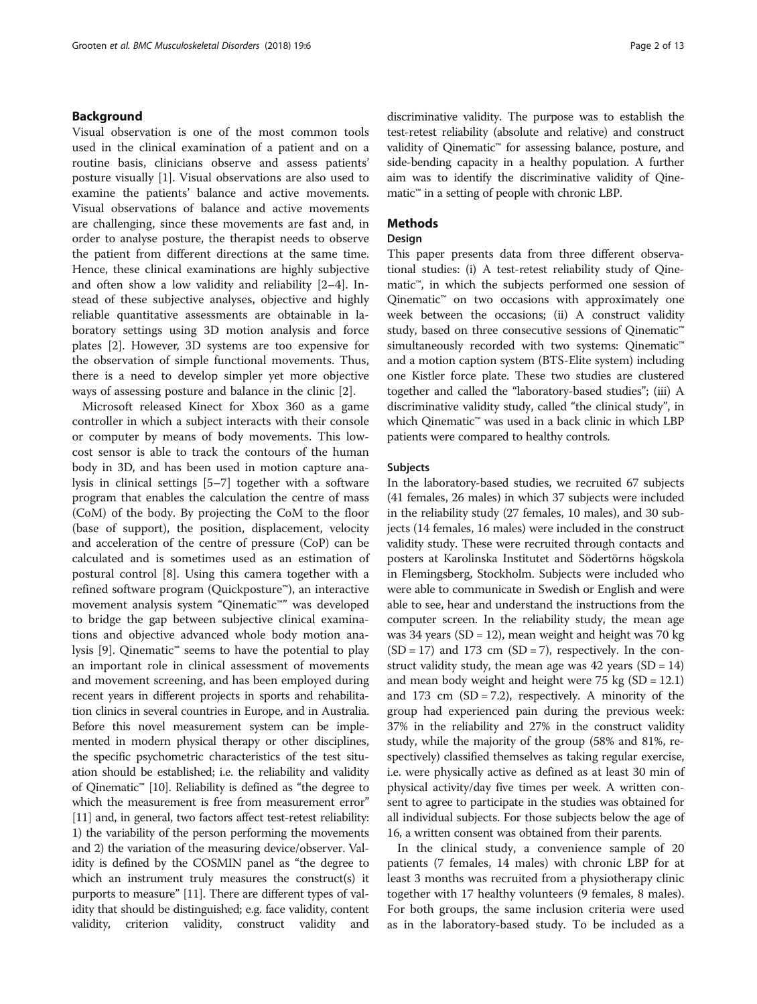# Background

Visual observation is one of the most common tools used in the clinical examination of a patient and on a routine basis, clinicians observe and assess patients' posture visually [[1](#page-11-0)]. Visual observations are also used to examine the patients' balance and active movements. Visual observations of balance and active movements are challenging, since these movements are fast and, in order to analyse posture, the therapist needs to observe the patient from different directions at the same time. Hence, these clinical examinations are highly subjective and often show a low validity and reliability [[2](#page-11-0)–[4\]](#page-11-0). Instead of these subjective analyses, objective and highly reliable quantitative assessments are obtainable in laboratory settings using 3D motion analysis and force plates [\[2](#page-11-0)]. However, 3D systems are too expensive for the observation of simple functional movements. Thus, there is a need to develop simpler yet more objective ways of assessing posture and balance in the clinic [[2\]](#page-11-0).

Microsoft released Kinect for Xbox 360 as a game controller in which a subject interacts with their console or computer by means of body movements. This lowcost sensor is able to track the contours of the human body in 3D, and has been used in motion capture analysis in clinical settings [[5](#page-11-0)–[7\]](#page-11-0) together with a software program that enables the calculation the centre of mass (CoM) of the body. By projecting the CoM to the floor (base of support), the position, displacement, velocity and acceleration of the centre of pressure (CoP) can be calculated and is sometimes used as an estimation of postural control [[8\]](#page-12-0). Using this camera together with a refined software program (Quickposture™), an interactive movement analysis system "Qinematic™" was developed to bridge the gap between subjective clinical examinations and objective advanced whole body motion ana-lysis [\[9](#page-12-0)]. Qinematic<sup>™</sup> seems to have the potential to play an important role in clinical assessment of movements and movement screening, and has been employed during recent years in different projects in sports and rehabilitation clinics in several countries in Europe, and in Australia. Before this novel measurement system can be implemented in modern physical therapy or other disciplines, the specific psychometric characteristics of the test situation should be established; i.e. the reliability and validity of Qinematic™ [\[10\]](#page-12-0). Reliability is defined as "the degree to which the measurement is free from measurement error" [[11](#page-12-0)] and, in general, two factors affect test-retest reliability: 1) the variability of the person performing the movements and 2) the variation of the measuring device/observer. Validity is defined by the COSMIN panel as "the degree to which an instrument truly measures the construct(s) it purports to measure" [\[11\]](#page-12-0). There are different types of validity that should be distinguished; e.g. face validity, content validity, criterion validity, construct validity and discriminative validity. The purpose was to establish the test-retest reliability (absolute and relative) and construct validity of Qinematic™ for assessing balance, posture, and side-bending capacity in a healthy population. A further aim was to identify the discriminative validity of Qinematic™ in a setting of people with chronic LBP.

# Methods

# Design

This paper presents data from three different observational studies: (i) A test-retest reliability study of Qinematic™, in which the subjects performed one session of Qinematic<sup>™</sup> on two occasions with approximately one week between the occasions; (ii) A construct validity study, based on three consecutive sessions of Qinematic™ simultaneously recorded with two systems: Qinematic™ and a motion caption system (BTS-Elite system) including one Kistler force plate. These two studies are clustered together and called the "laboratory-based studies"; (iii) A discriminative validity study, called "the clinical study", in which Qinematic™ was used in a back clinic in which LBP patients were compared to healthy controls.

#### Subjects

In the laboratory-based studies, we recruited 67 subjects (41 females, 26 males) in which 37 subjects were included in the reliability study (27 females, 10 males), and 30 subjects (14 females, 16 males) were included in the construct validity study. These were recruited through contacts and posters at Karolinska Institutet and Södertörns högskola in Flemingsberg, Stockholm. Subjects were included who were able to communicate in Swedish or English and were able to see, hear and understand the instructions from the computer screen. In the reliability study, the mean age was 34 years (SD = 12), mean weight and height was 70 kg  $(SD = 17)$  and 173 cm  $(SD = 7)$ , respectively. In the construct validity study, the mean age was  $42$  years  $(SD = 14)$ and mean body weight and height were  $75 \text{ kg (SD = 12.1)}$ and 173 cm  $(SD = 7.2)$ , respectively. A minority of the group had experienced pain during the previous week: 37% in the reliability and 27% in the construct validity study, while the majority of the group (58% and 81%, respectively) classified themselves as taking regular exercise, i.e. were physically active as defined as at least 30 min of physical activity/day five times per week. A written consent to agree to participate in the studies was obtained for all individual subjects. For those subjects below the age of 16, a written consent was obtained from their parents.

In the clinical study, a convenience sample of 20 patients (7 females, 14 males) with chronic LBP for at least 3 months was recruited from a physiotherapy clinic together with 17 healthy volunteers (9 females, 8 males). For both groups, the same inclusion criteria were used as in the laboratory-based study. To be included as a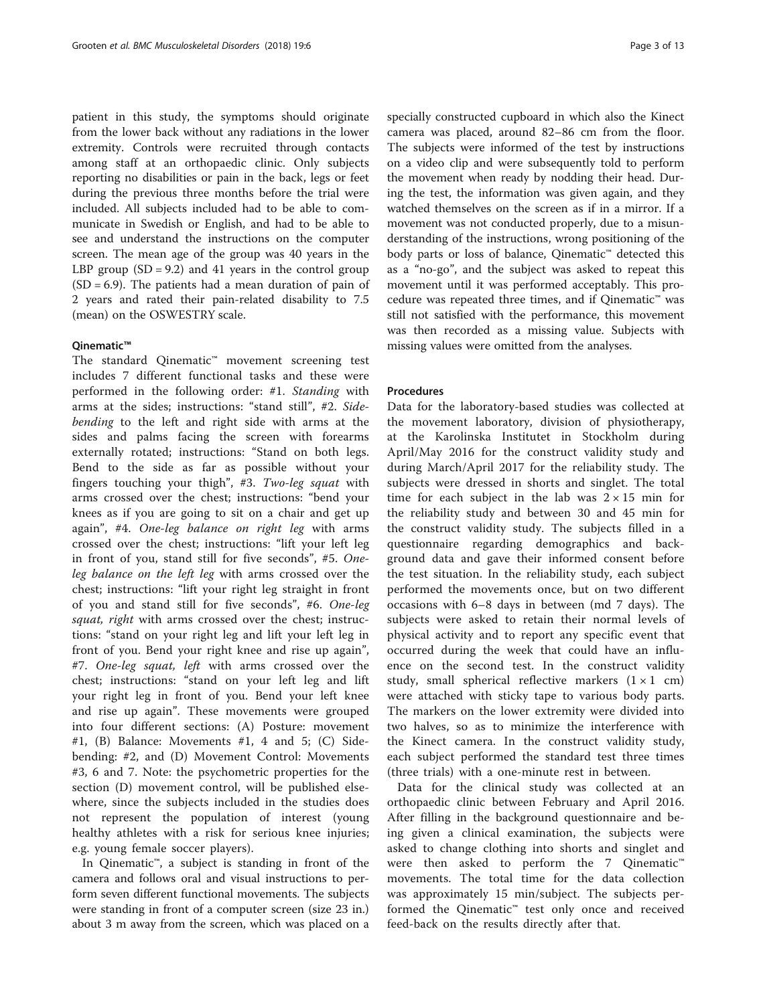patient in this study, the symptoms should originate from the lower back without any radiations in the lower extremity. Controls were recruited through contacts among staff at an orthopaedic clinic. Only subjects reporting no disabilities or pain in the back, legs or feet during the previous three months before the trial were included. All subjects included had to be able to communicate in Swedish or English, and had to be able to see and understand the instructions on the computer screen. The mean age of the group was 40 years in the LBP group  $(SD = 9.2)$  and 41 years in the control group  $(SD = 6.9)$ . The patients had a mean duration of pain of 2 years and rated their pain-related disability to 7.5 (mean) on the OSWESTRY scale.

# Qinematic™

The standard Qinematic™ movement screening test includes 7 different functional tasks and these were performed in the following order: #1. Standing with arms at the sides; instructions: "stand still", #2. Sidebending to the left and right side with arms at the sides and palms facing the screen with forearms externally rotated; instructions: "Stand on both legs. Bend to the side as far as possible without your fingers touching your thigh", #3. Two-leg squat with arms crossed over the chest; instructions: "bend your knees as if you are going to sit on a chair and get up again", #4. One-leg balance on right leg with arms crossed over the chest; instructions: "lift your left leg in front of you, stand still for five seconds", #5. Oneleg balance on the left leg with arms crossed over the chest; instructions: "lift your right leg straight in front of you and stand still for five seconds", #6. One-leg squat, right with arms crossed over the chest; instructions: "stand on your right leg and lift your left leg in front of you. Bend your right knee and rise up again", #7. One-leg squat, left with arms crossed over the chest; instructions: "stand on your left leg and lift your right leg in front of you. Bend your left knee and rise up again". These movements were grouped into four different sections: (A) Posture: movement #1, (B) Balance: Movements #1, 4 and 5; (C) Sidebending: #2, and (D) Movement Control: Movements #3, 6 and 7. Note: the psychometric properties for the section (D) movement control, will be published elsewhere, since the subjects included in the studies does not represent the population of interest (young healthy athletes with a risk for serious knee injuries; e.g. young female soccer players).

In Qinematic™, a subject is standing in front of the camera and follows oral and visual instructions to perform seven different functional movements. The subjects were standing in front of a computer screen (size 23 in.) about 3 m away from the screen, which was placed on a specially constructed cupboard in which also the Kinect camera was placed, around 82–86 cm from the floor. The subjects were informed of the test by instructions on a video clip and were subsequently told to perform the movement when ready by nodding their head. During the test, the information was given again, and they watched themselves on the screen as if in a mirror. If a movement was not conducted properly, due to a misunderstanding of the instructions, wrong positioning of the body parts or loss of balance, Qinematic<sup>™</sup> detected this as a "no-go", and the subject was asked to repeat this movement until it was performed acceptably. This procedure was repeated three times, and if Qinematic™ was still not satisfied with the performance, this movement was then recorded as a missing value. Subjects with missing values were omitted from the analyses.

## Procedures

Data for the laboratory-based studies was collected at the movement laboratory, division of physiotherapy, at the Karolinska Institutet in Stockholm during April/May 2016 for the construct validity study and during March/April 2017 for the reliability study. The subjects were dressed in shorts and singlet. The total time for each subject in the lab was  $2 \times 15$  min for the reliability study and between 30 and 45 min for the construct validity study. The subjects filled in a questionnaire regarding demographics and background data and gave their informed consent before the test situation. In the reliability study, each subject performed the movements once, but on two different occasions with 6–8 days in between (md 7 days). The subjects were asked to retain their normal levels of physical activity and to report any specific event that occurred during the week that could have an influence on the second test. In the construct validity study, small spherical reflective markers  $(1 \times 1 \text{ cm})$ were attached with sticky tape to various body parts. The markers on the lower extremity were divided into two halves, so as to minimize the interference with the Kinect camera. In the construct validity study, each subject performed the standard test three times (three trials) with a one-minute rest in between.

Data for the clinical study was collected at an orthopaedic clinic between February and April 2016. After filling in the background questionnaire and being given a clinical examination, the subjects were asked to change clothing into shorts and singlet and were then asked to perform the 7 Qinematic<sup>™</sup> movements. The total time for the data collection was approximately 15 min/subject. The subjects performed the Qinematic™ test only once and received feed-back on the results directly after that.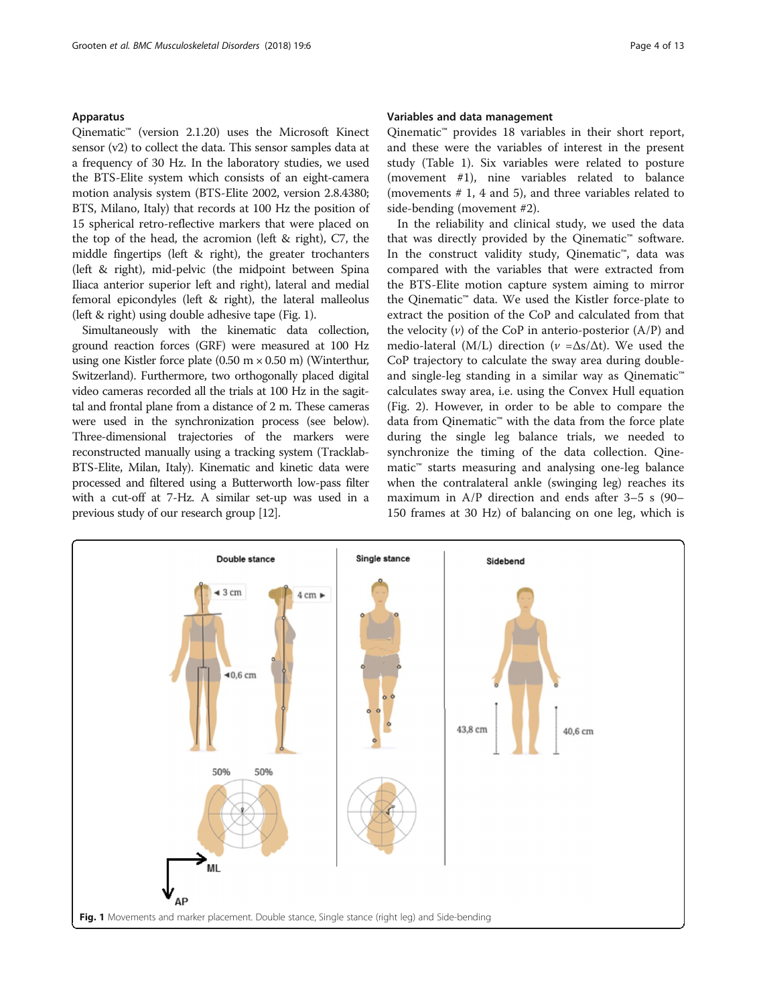# Apparatus

Qinematic™ (version 2.1.20) uses the Microsoft Kinect sensor (v2) to collect the data. This sensor samples data at a frequency of 30 Hz. In the laboratory studies, we used the BTS-Elite system which consists of an eight-camera motion analysis system (BTS-Elite 2002, version 2.8.4380; BTS, Milano, Italy) that records at 100 Hz the position of 15 spherical retro-reflective markers that were placed on the top of the head, the acromion (left & right), C7, the middle fingertips (left & right), the greater trochanters (left & right), mid-pelvic (the midpoint between Spina Iliaca anterior superior left and right), lateral and medial femoral epicondyles (left & right), the lateral malleolus (left & right) using double adhesive tape (Fig. 1).

Simultaneously with the kinematic data collection, ground reaction forces (GRF) were measured at 100 Hz using one Kistler force plate  $(0.50 \text{ m} \times 0.50 \text{ m})$  (Winterthur, Switzerland). Furthermore, two orthogonally placed digital video cameras recorded all the trials at 100 Hz in the sagittal and frontal plane from a distance of 2 m. These cameras were used in the synchronization process (see below). Three-dimensional trajectories of the markers were reconstructed manually using a tracking system (Tracklab-BTS-Elite, Milan, Italy). Kinematic and kinetic data were processed and filtered using a Butterworth low-pass filter with a cut-off at 7-Hz. A similar set-up was used in a previous study of our research group [\[12\]](#page-12-0).

# Variables and data management

Qinematic<sup>™</sup> provides 18 variables in their short report, and these were the variables of interest in the present study (Table [1](#page-4-0)). Six variables were related to posture (movement #1), nine variables related to balance (movements # 1, 4 and 5), and three variables related to side-bending (movement #2).

In the reliability and clinical study, we used the data that was directly provided by the Qinematic™ software. In the construct validity study, Qinematic™, data was compared with the variables that were extracted from the BTS-Elite motion capture system aiming to mirror the Qinematic™ data. We used the Kistler force-plate to extract the position of the CoP and calculated from that the velocity  $(v)$  of the CoP in anterio-posterior  $(A/P)$  and medio-lateral (M/L) direction ( $v = \Delta s/\Delta t$ ). We used the CoP trajectory to calculate the sway area during doubleand single-leg standing in a similar way as Qinematic™ calculates sway area, i.e. using the Convex Hull equation (Fig. [2](#page-5-0)). However, in order to be able to compare the data from Qinematic™ with the data from the force plate during the single leg balance trials, we needed to synchronize the timing of the data collection. Qinematic™ starts measuring and analysing one-leg balance when the contralateral ankle (swinging leg) reaches its maximum in A/P direction and ends after 3–5 s (90– 150 frames at 30 Hz) of balancing on one leg, which is

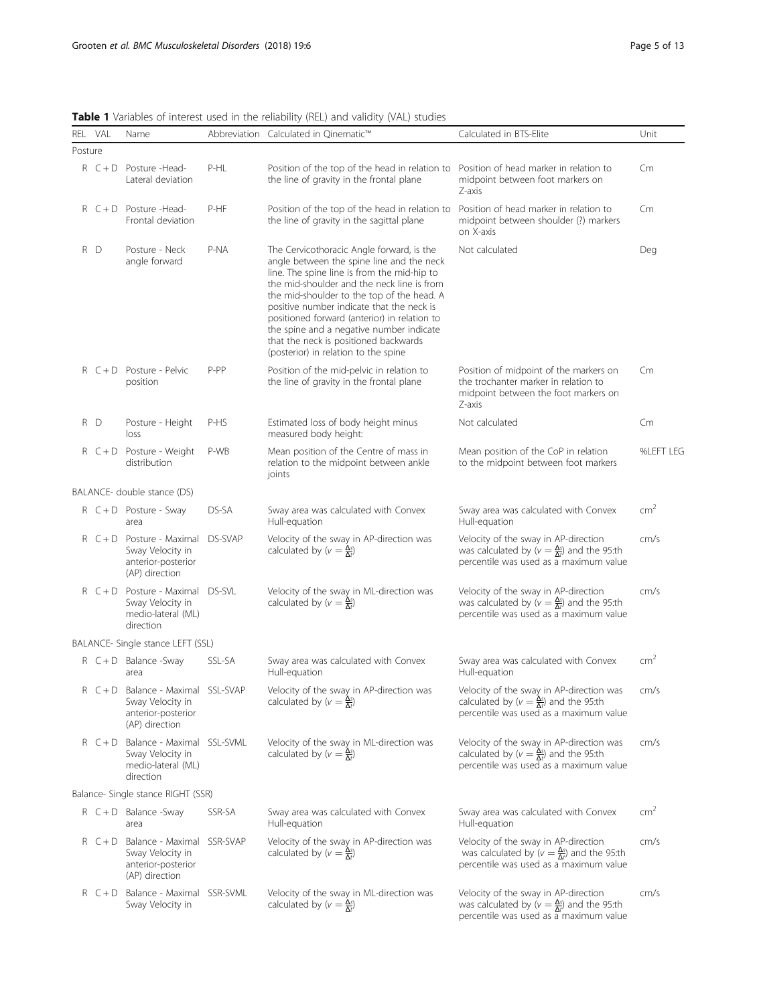<span id="page-4-0"></span>Table 1 Variables of interest used in the reliability (REL) and validity (VAL) studies

|         | REL VAL   | Name                                                                                         |          | Abbreviation Calculated in Qinematic™                                                                                                                                                                                                                                                                                                                                                                                                                       | Calculated in BTS-Elite                                                                                                                               | Unit            |
|---------|-----------|----------------------------------------------------------------------------------------------|----------|-------------------------------------------------------------------------------------------------------------------------------------------------------------------------------------------------------------------------------------------------------------------------------------------------------------------------------------------------------------------------------------------------------------------------------------------------------------|-------------------------------------------------------------------------------------------------------------------------------------------------------|-----------------|
| Posture |           |                                                                                              |          |                                                                                                                                                                                                                                                                                                                                                                                                                                                             |                                                                                                                                                       |                 |
|         |           | $R$ $C + D$ Posture -Head-<br>Lateral deviation                                              | P-HL     | Position of the top of the head in relation to<br>the line of gravity in the frontal plane                                                                                                                                                                                                                                                                                                                                                                  | Position of head marker in relation to<br>midpoint between foot markers on<br>Z-axis                                                                  | Cm              |
|         | $R C + D$ | Posture -Head-<br>Frontal deviation                                                          | P-HF     | Position of the top of the head in relation to<br>the line of gravity in the sagittal plane                                                                                                                                                                                                                                                                                                                                                                 | Position of head marker in relation to<br>midpoint between shoulder (?) markers<br>on X-axis                                                          | Cm              |
|         | R D       | Posture - Neck<br>angle forward                                                              | P-NA     | The Cervicothoracic Angle forward, is the<br>angle between the spine line and the neck<br>line. The spine line is from the mid-hip to<br>the mid-shoulder and the neck line is from<br>the mid-shoulder to the top of the head. A<br>positive number indicate that the neck is<br>positioned forward (anterior) in relation to<br>the spine and a negative number indicate<br>that the neck is positioned backwards<br>(posterior) in relation to the spine | Not calculated                                                                                                                                        | Deg             |
|         |           | R C+D Posture - Pelvic<br>position                                                           | P-PP     | Position of the mid-pelvic in relation to<br>the line of gravity in the frontal plane                                                                                                                                                                                                                                                                                                                                                                       | Position of midpoint of the markers on<br>the trochanter marker in relation to<br>midpoint between the foot markers on<br>Z-axis                      | Cm              |
|         | R D       | Posture - Height<br>loss                                                                     | P-HS     | Estimated loss of body height minus<br>measured body height:                                                                                                                                                                                                                                                                                                                                                                                                | Not calculated                                                                                                                                        | Cm              |
|         |           | R C+D Posture - Weight<br>distribution                                                       | P-WB     | Mean position of the Centre of mass in<br>relation to the midpoint between ankle<br>joints                                                                                                                                                                                                                                                                                                                                                                  | Mean position of the CoP in relation<br>to the midpoint between foot markers                                                                          | %LEFT LEG       |
|         |           | BALANCE- double stance (DS)                                                                  |          |                                                                                                                                                                                                                                                                                                                                                                                                                                                             |                                                                                                                                                       |                 |
|         |           | $R$ $C + D$ Posture - Sway<br>area                                                           | DS-SA    | Sway area was calculated with Convex<br>Hull-equation                                                                                                                                                                                                                                                                                                                                                                                                       | Sway area was calculated with Convex<br>Hull-equation                                                                                                 | cm <sup>2</sup> |
|         | R C+D     | Posture - Maximal<br>Sway Velocity in<br>anterior-posterior<br>(AP) direction                | DS-SVAP  | Velocity of the sway in AP-direction was<br>calculated by $(v = \frac{\Delta s}{\Delta t})$                                                                                                                                                                                                                                                                                                                                                                 | Velocity of the sway in AP-direction<br>was calculated by $(v = \frac{\Delta s}{\Delta t})$ and the 95:th<br>percentile was used as a maximum value   | cm/s            |
|         | $R C + D$ | Posture - Maximal<br>Sway Velocity in<br>medio-lateral (ML)<br>direction                     | DS-SVL   | Velocity of the sway in ML-direction was<br>calculated by ( $v = \frac{\Delta s}{\Delta t}$ )                                                                                                                                                                                                                                                                                                                                                               | Velocity of the sway in AP-direction<br>was calculated by ( $v = \frac{\Delta s}{\Delta t}$ ) and the 95:th<br>percentile was used as a maximum value | cm/s            |
|         |           | BALANCE- Single stance LEFT (SSL)                                                            |          |                                                                                                                                                                                                                                                                                                                                                                                                                                                             |                                                                                                                                                       |                 |
|         |           | $R$ $C + D$ Balance -Sway<br>area                                                            | SSL-SA   | Sway area was calculated with Convex<br>Hull-equation                                                                                                                                                                                                                                                                                                                                                                                                       | Sway area was calculated with Convex<br>Hull-equation                                                                                                 | cm <sup>2</sup> |
|         |           | R C+D Balance - Maximal SSL-SVAP<br>Sway Velocity in<br>anterior-posterior<br>(AP) direction |          | Velocity of the sway in AP-direction was<br>calculated by ( $v = \frac{\Delta s}{\Delta t}$ )                                                                                                                                                                                                                                                                                                                                                               | Velocity of the sway in AP-direction was<br>calculated by ( $v = \frac{\Delta s}{\Delta t}$ ) and the 95:th<br>percentile was used as a maximum value | cm/s            |
|         | $R C + D$ | Balance - Maximal SSL-SVML<br>Sway Velocity in<br>medio-lateral (ML)<br>direction            |          | Velocity of the sway in ML-direction was<br>calculated by ( $v = \frac{\Delta s}{\Delta t}$ )                                                                                                                                                                                                                                                                                                                                                               | Velocity of the sway in AP-direction was<br>calculated by ( $v = \frac{\Delta s}{\Delta t}$ ) and the 95:th<br>percentile was used as a maximum value | cm/s            |
|         |           | Balance- Single stance RIGHT (SSR)                                                           |          |                                                                                                                                                                                                                                                                                                                                                                                                                                                             |                                                                                                                                                       |                 |
|         |           | $R$ $C + D$ Balance -Sway<br>area                                                            | SSR-SA   | Sway area was calculated with Convex<br>Hull-equation                                                                                                                                                                                                                                                                                                                                                                                                       | Sway area was calculated with Convex<br>Hull-equation                                                                                                 | cm <sup>2</sup> |
|         | $R C + D$ | Balance - Maximal<br>Sway Velocity in<br>anterior-posterior<br>(AP) direction                | SSR-SVAP | Velocity of the sway in AP-direction was<br>calculated by ( $v = \frac{\Delta s}{\Delta t}$ )                                                                                                                                                                                                                                                                                                                                                               | Velocity of the sway in AP-direction<br>was calculated by ( $v = \frac{\Delta s}{\Delta t}$ ) and the 95:th<br>percentile was used as a maximum value | cm/s            |
|         | $R C + D$ | Balance - Maximal SSR-SVML<br>Sway Velocity in                                               |          | Velocity of the sway in ML-direction was<br>calculated by ( $v = \frac{\Delta s}{\Delta t}$ )                                                                                                                                                                                                                                                                                                                                                               | Velocity of the sway in AP-direction<br>was calculated by ( $v = \frac{\Delta s}{\Delta t}$ ) and the 95:th<br>percentile was used as a maximum value | cm/s            |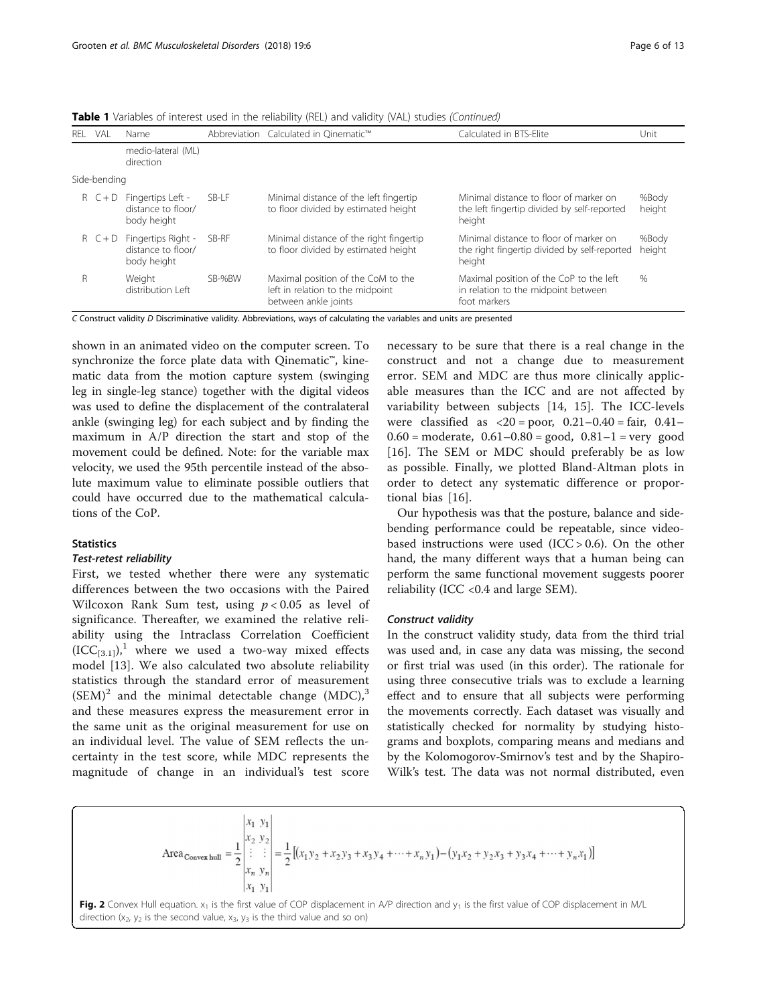<span id="page-5-0"></span>Table 1 Variables of interest used in the reliability (REL) and validity (VAL) studies (Continued)

| <b>REL</b> | VAL          | Name                                                    |        | Abbreviation Calculated in Oinematic™                                                          | Calculated in BTS-Elite                                                                          | Unit            |
|------------|--------------|---------------------------------------------------------|--------|------------------------------------------------------------------------------------------------|--------------------------------------------------------------------------------------------------|-----------------|
|            |              | medio-lateral (ML)<br>direction                         |        |                                                                                                |                                                                                                  |                 |
|            | Side-bending |                                                         |        |                                                                                                |                                                                                                  |                 |
|            | $R$ $C+D$    | Fingertips Left -<br>distance to floor/<br>body height  | SB-LE  | Minimal distance of the left fingertip<br>to floor divided by estimated height                 | Minimal distance to floor of marker on<br>the left fingertip divided by self-reported<br>height  | %Body<br>height |
|            | $R C + D$    | Fingertips Right -<br>distance to floor/<br>body height | SB-RF  | Minimal distance of the right fingertip<br>to floor divided by estimated height                | Minimal distance to floor of marker on<br>the right fingertip divided by self-reported<br>height | %Body<br>height |
| R          |              | Weight<br>distribution Left                             | SB-%BW | Maximal position of the CoM to the<br>left in relation to the midpoint<br>between ankle joints | Maximal position of the CoP to the left<br>in relation to the midpoint between<br>foot markers   | $\%$            |

C Construct validity D Discriminative validity. Abbreviations, ways of calculating the variables and units are presented

shown in an animated video on the computer screen. To synchronize the force plate data with Qinematic™, kinematic data from the motion capture system (swinging leg in single-leg stance) together with the digital videos was used to define the displacement of the contralateral ankle (swinging leg) for each subject and by finding the maximum in A/P direction the start and stop of the movement could be defined. Note: for the variable max velocity, we used the 95th percentile instead of the absolute maximum value to eliminate possible outliers that could have occurred due to the mathematical calculations of the CoP.

# **Statistics**

## Test-retest reliability

First, we tested whether there were any systematic differences between the two occasions with the Paired Wilcoxon Rank Sum test, using  $p < 0.05$  as level of significance. Thereafter, we examined the relative reliability using the Intraclass Correlation Coefficient  $(ICC_{[3,1]})$ ,<sup>1</sup> where we used a two-way mixed effects model [[13\]](#page-12-0). We also calculated two absolute reliability statistics through the standard error of measurement  $(SEM)^2$  and the minimal detectable change  $(MDC)^3$ and these measures express the measurement error in the same unit as the original measurement for use on an individual level. The value of SEM reflects the uncertainty in the test score, while MDC represents the magnitude of change in an individual's test score

necessary to be sure that there is a real change in the construct and not a change due to measurement error. SEM and MDC are thus more clinically applicable measures than the ICC and are not affected by variability between subjects [[14, 15\]](#page-12-0). The ICC-levels were classified as  $\langle 20 = p$ oor,  $0.21 - 0.40 = f$ air,  $0.41 0.60$  = moderate,  $0.61 - 0.80$  = good,  $0.81 - 1$  = very good [[16\]](#page-12-0). The SEM or MDC should preferably be as low as possible. Finally, we plotted Bland-Altman plots in order to detect any systematic difference or proportional bias [[16\]](#page-12-0).

Our hypothesis was that the posture, balance and sidebending performance could be repeatable, since videobased instructions were used (ICC  $> 0.6$ ). On the other hand, the many different ways that a human being can perform the same functional movement suggests poorer reliability (ICC <0.4 and large SEM).

#### Construct validity

In the construct validity study, data from the third trial was used and, in case any data was missing, the second or first trial was used (in this order). The rationale for using three consecutive trials was to exclude a learning effect and to ensure that all subjects were performing the movements correctly. Each dataset was visually and statistically checked for normality by studying histograms and boxplots, comparing means and medians and by the Kolomogorov-Smirnov's test and by the Shapiro-Wilk's test. The data was not normal distributed, even



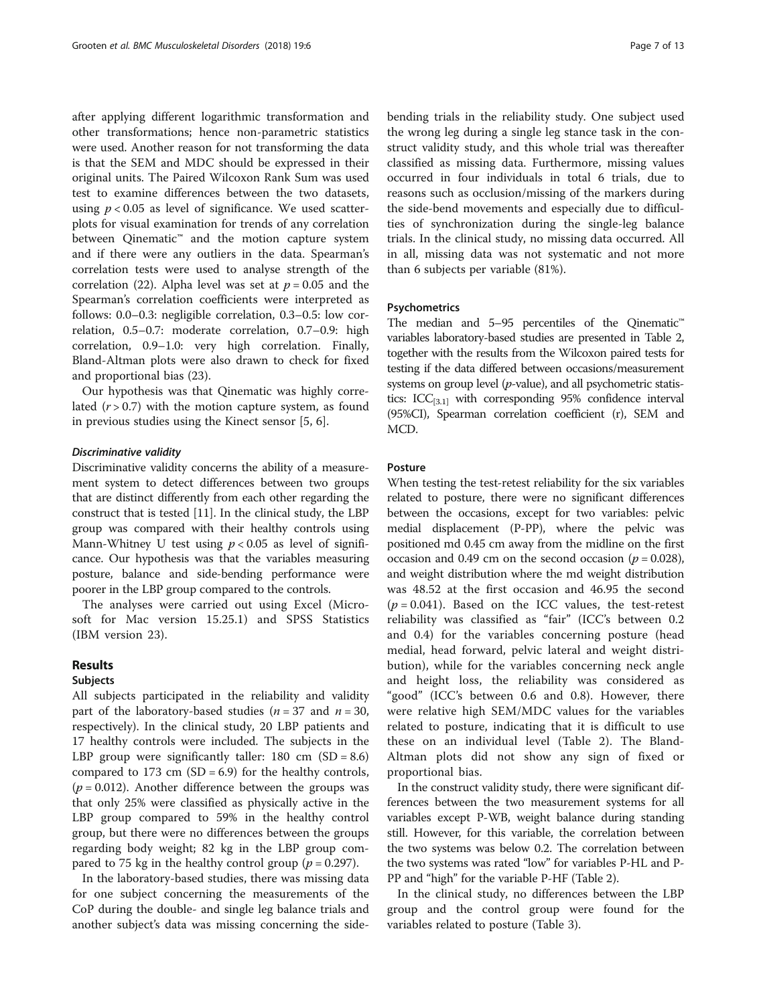after applying different logarithmic transformation and other transformations; hence non-parametric statistics were used. Another reason for not transforming the data is that the SEM and MDC should be expressed in their original units. The Paired Wilcoxon Rank Sum was used test to examine differences between the two datasets, using  $p < 0.05$  as level of significance. We used scatterplots for visual examination for trends of any correlation between Qinematic<sup>™</sup> and the motion capture system and if there were any outliers in the data. Spearman's correlation tests were used to analyse strength of the correlation (22). Alpha level was set at  $p = 0.05$  and the Spearman's correlation coefficients were interpreted as follows: 0.0–0.3: negligible correlation, 0.3–0.5: low correlation, 0.5–0.7: moderate correlation, 0.7–0.9: high correlation, 0.9–1.0: very high correlation. Finally, Bland-Altman plots were also drawn to check for fixed and proportional bias (23).

Our hypothesis was that Qinematic was highly correlated  $(r > 0.7)$  with the motion capture system, as found in previous studies using the Kinect sensor [[5, 6\]](#page-11-0).

## Discriminative validity

Discriminative validity concerns the ability of a measurement system to detect differences between two groups that are distinct differently from each other regarding the construct that is tested [\[11\]](#page-12-0). In the clinical study, the LBP group was compared with their healthy controls using Mann-Whitney U test using  $p < 0.05$  as level of significance. Our hypothesis was that the variables measuring posture, balance and side-bending performance were poorer in the LBP group compared to the controls.

The analyses were carried out using Excel (Microsoft for Mac version 15.25.1) and SPSS Statistics (IBM version 23).

# Results

#### Subjects

All subjects participated in the reliability and validity part of the laboratory-based studies ( $n = 37$  and  $n = 30$ , respectively). In the clinical study, 20 LBP patients and 17 healthy controls were included. The subjects in the LBP group were significantly taller:  $180 \text{ cm } (\text{SD} = 8.6)$ compared to 173 cm  $(SD = 6.9)$  for the healthy controls,  $(p = 0.012)$ . Another difference between the groups was that only 25% were classified as physically active in the LBP group compared to 59% in the healthy control group, but there were no differences between the groups regarding body weight; 82 kg in the LBP group compared to 75 kg in the healthy control group ( $p = 0.297$ ).

In the laboratory-based studies, there was missing data for one subject concerning the measurements of the CoP during the double- and single leg balance trials and another subject's data was missing concerning the side-

bending trials in the reliability study. One subject used the wrong leg during a single leg stance task in the construct validity study, and this whole trial was thereafter classified as missing data. Furthermore, missing values occurred in four individuals in total 6 trials, due to reasons such as occlusion/missing of the markers during the side-bend movements and especially due to difficulties of synchronization during the single-leg balance trials. In the clinical study, no missing data occurred. All in all, missing data was not systematic and not more than 6 subjects per variable (81%).

## **Psychometrics**

The median and 5–95 percentiles of the Qinematic™ variables laboratory-based studies are presented in Table [2](#page-7-0), together with the results from the Wilcoxon paired tests for testing if the data differed between occasions/measurement systems on group level  $(p$ -value), and all psychometric statistics:  $ICC<sub>[3.1]</sub> with corresponding 95% confidence interval$ (95%CI), Spearman correlation coefficient (r), SEM and MCD.

#### **Posture**

When testing the test-retest reliability for the six variables related to posture, there were no significant differences between the occasions, except for two variables: pelvic medial displacement (P-PP), where the pelvic was positioned md 0.45 cm away from the midline on the first occasion and 0.49 cm on the second occasion ( $p = 0.028$ ), and weight distribution where the md weight distribution was 48.52 at the first occasion and 46.95 the second  $(p = 0.041)$ . Based on the ICC values, the test-retest reliability was classified as "fair" (ICC's between 0.2 and 0.4) for the variables concerning posture (head medial, head forward, pelvic lateral and weight distribution), while for the variables concerning neck angle and height loss, the reliability was considered as "good" (ICC's between 0.6 and 0.8). However, there were relative high SEM/MDC values for the variables related to posture, indicating that it is difficult to use these on an individual level (Table [2](#page-7-0)). The Bland-Altman plots did not show any sign of fixed or proportional bias.

In the construct validity study, there were significant differences between the two measurement systems for all variables except P-WB, weight balance during standing still. However, for this variable, the correlation between the two systems was below 0.2. The correlation between the two systems was rated "low" for variables P-HL and P-PP and "high" for the variable P-HF (Table [2](#page-7-0)).

In the clinical study, no differences between the LBP group and the control group were found for the variables related to posture (Table [3\)](#page-8-0).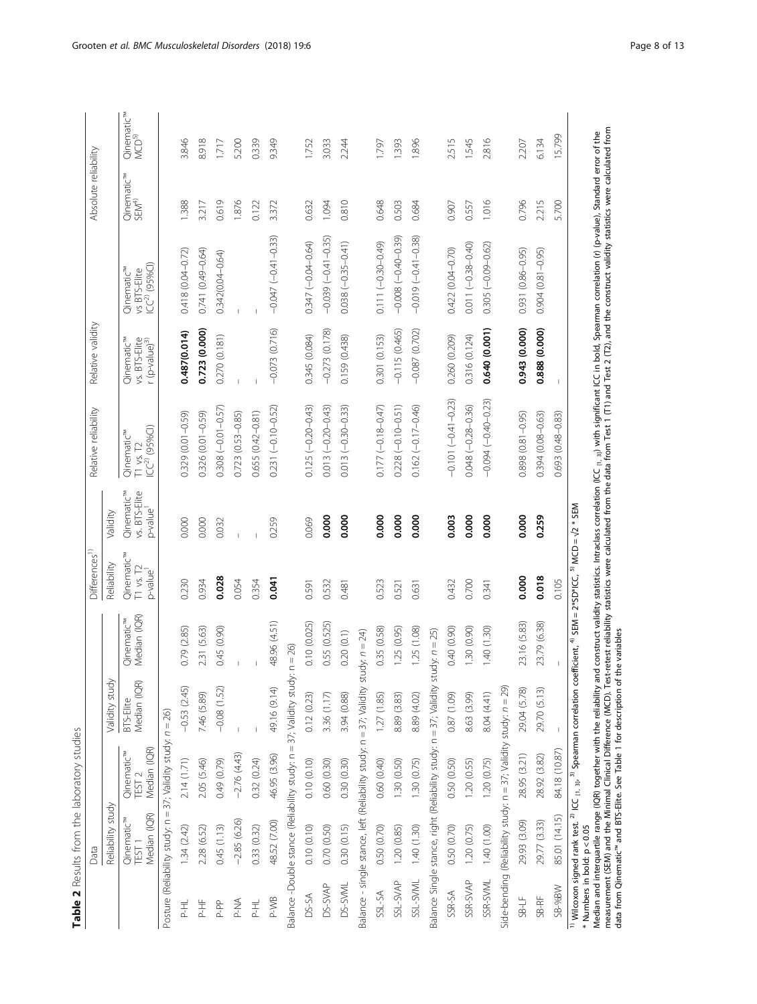<span id="page-7-0"></span>

|          | Data                                              | Table 2 Results from the laboratory studies                           |                                                                                  |                                        | Differences <sup>1)</sup>                                       |                                                                    | Relative reliability                                       | Relative validity                                                    |                                                               | Absolute reliability                        |                                 |
|----------|---------------------------------------------------|-----------------------------------------------------------------------|----------------------------------------------------------------------------------|----------------------------------------|-----------------------------------------------------------------|--------------------------------------------------------------------|------------------------------------------------------------|----------------------------------------------------------------------|---------------------------------------------------------------|---------------------------------------------|---------------------------------|
|          | Reliability study                                 |                                                                       | Validity study                                                                   |                                        | Reliability                                                     | Validity                                                           |                                                            |                                                                      |                                                               |                                             |                                 |
|          | Median (IQR)<br>Qinematic <sup>nw</sup><br>TEST 1 | Median (IQR)<br>Qinematic <sup>™</sup><br><b>TEST 2</b>               | Median (IQR)<br>BTS-Elite                                                        | Median (IQR)<br>Qinematic <sup>™</sup> | Qinematic <sup>™</sup><br>$T1$ vs. $T2$<br>p-value <sup>1</sup> | Qinematic <sup>™</sup><br>vs. BTS-Elite<br>$p$ -value <sup>1</sup> | $(95%$ Cl)<br>Qinematic <sup>™</sup><br>$7$ vs. $T2$<br>JU | Qinematic <sup>™</sup><br>vs. BTS-Elite<br>r (p-value) <sup>3)</sup> | $(95%$ Cl)<br>Qinematic <sup>™</sup><br>vs BTS-Elite<br>$C^2$ | Qinematic <sup>™</sup><br>SEM <sup>4)</sup> | Qinematic™<br>MCD <sup>5)</sup> |
|          |                                                   | Posture (Reliability study: n = 37; Validity study: n = 26)           |                                                                                  |                                        |                                                                 |                                                                    |                                                            |                                                                      |                                                               |                                             |                                 |
| 치        | 1.34(2.42)                                        | 2.14(1.71)                                                            | $-0.53(2.45)$                                                                    | 0.79 (2.85)                            | 0.230                                                           | 0.000                                                              | 0.329 (0.01-0.59)                                          | 0.487(0.014)                                                         | 0.418 (0.04-0.72)                                             | 1.388                                       | 3.846                           |
| 牛<br>1   | 2.28 (6.52)                                       | 2.05(5.46)                                                            | 7.46 (5.89)                                                                      | 2.31 (5.63)                            | 0.934                                                           | 0.000                                                              | 0.326 (0.01-0.59)                                          | 0.723 (0.000)                                                        | 0.741 (0.49-0.64)                                             | 3.217                                       | 8.918                           |
| P-PP     | 0.45(1.13)                                        | 0.49 (0.79)                                                           | $-0.08(1.52)$                                                                    | 0.45 (0.90)                            | 0.028                                                           | 0.032                                                              | $0.308 (-0.01 - 0.57)$                                     | 0.270 (0.181)                                                        | $0.342(0.04 - 0.64)$                                          | 0.619                                       | 1.717                           |
| P-NA     | $-2.85(6.26)$                                     | $-2.76(4.43)$                                                         |                                                                                  |                                        | 0.054                                                           |                                                                    | $0.723(0.53 - 0.85)$                                       |                                                                      |                                                               | 1.876                                       | 5.200                           |
| 부<br>국   | 0.33(0.32)                                        | 0.32(0.24)                                                            |                                                                                  |                                        | 0.354                                                           |                                                                    | 0.655 (0.42-0.81)                                          |                                                                      |                                                               | 0.122                                       | 0.339                           |
| P-WB     | 48.52 (7.00)                                      | 46.95 (3.96)                                                          | 49.16 (9.14)                                                                     | 48.96 (4.51)                           | 0.041                                                           | 0.259                                                              | $0.231 (-0.10 - 0.52)$                                     | $-0.073(0.716)$                                                      | $-0.047(-0.41-0.33)$                                          | 3.372                                       | 9.349                           |
|          |                                                   | Balance -Double stance (Reliability study: n = 37; Validity study     |                                                                                  | $n = 26$                               |                                                                 |                                                                    |                                                            |                                                                      |                                                               |                                             |                                 |
| DS-SA    | 0.10(0.10)                                        | 0.10(0.10)                                                            | 0.12(0.23)                                                                       | 0.10 (0.025)                           | 0.591                                                           | 0.069                                                              | $0.125 (-0.20 - 0.43)$                                     | 0.345 (0.084)                                                        | $0.347(-0.04 - 0.64)$                                         | 0.632                                       | 1.752                           |
| DS-SVAP  | 0.70(0.50)                                        | 0.60 (0.30)                                                           | 3.36 (1.17)                                                                      | 0.55 (0.525)                           | 0.532                                                           | 0.000                                                              | $0.013(-0.20 - 0.43)$                                      | $-0.273(0.178)$                                                      | $-0.039(-0.41-0.35)$                                          | 1.094                                       | 3.033                           |
| DS-SVML  | 0.30(0.15)                                        | 0.30(0.30)                                                            | 3.94 (0.88)                                                                      | 0.20(0.1)                              | 0.481                                                           | 0.000                                                              | $0.013(-0.30-0.33)$                                        | 0.159 (0.438)                                                        | $0.038 (-0.35 - 0.41)$                                        | 0.810                                       | 2.244                           |
|          |                                                   | Balance - single stance, left (Reliability study: n = 37; Validity st |                                                                                  | $udy: n = 24$                          |                                                                 |                                                                    |                                                            |                                                                      |                                                               |                                             |                                 |
| SSL-SA   | 0.50 (0.70)                                       | 0.60(0.40)                                                            | 1.27(1.85)                                                                       | 0.35 (0.58)                            | 0.523                                                           | 0.000                                                              | $0.177 (-0.18 - 0.47)$                                     | 0.301 (0.153)                                                        | $0.111 (-0.30 - 0.49)$                                        | 0.648                                       | 1.797                           |
| SSL-SVAP | 1.20(0.85)                                        | 1.30(0.50)                                                            | 8.89 (3.83)                                                                      | 1.25 (0.95)                            | 0.521                                                           | 0.000                                                              | $0.228(-0.10-0.51)$                                        | $-0.115(0.465)$                                                      | $-0.008 (-0.40 - 0.39)$                                       | 0.503                                       | 1.393                           |
|          | SSL-SVML 1.40 (1.30)                              | 1.30(0.75)                                                            | 8.89 (4.02)                                                                      | 1.25 (1.08)                            | 0.631                                                           | 0.000                                                              | $0.162 (-0.17 - 0.46)$                                     | $-0.087(0.702)$                                                      | $-0.019(-0.41-0.38)$                                          | 0.684                                       | 1.896                           |
|          |                                                   |                                                                       | Balance Single stance, right (Reliability study: n = 37; Validity study: n = 25) |                                        |                                                                 |                                                                    |                                                            |                                                                      |                                                               |                                             |                                 |
| SSR-SA   | 0.50 (0.70)                                       | 0.50(0.50)                                                            | 0.87 (1.09)                                                                      | 0.40 (0.90)                            | 0.432                                                           | 0.003                                                              | $-0.101(-0.41 - 0.23)$                                     | 0.260 (0.209)                                                        | 0.422 (0.04-0.70)                                             | 0.907                                       | 2.515                           |
| SSR-SVAP | 1.20(0.75)                                        | 1.20(0.55)                                                            | 8.63 (3.99)                                                                      | $(.0.90)$ $0.5.1$                      | 0.700                                                           | 0.000                                                              | $0.048 (-0.28 - 0.36)$                                     | 0.316 (0.124)                                                        | $0.011 (-0.38 - 0.40)$                                        | 0.557                                       | 1.545                           |
| SSR-SVML | 1.40 (1.00)                                       | 1.20(0.75)                                                            | 8.04 (4.41)                                                                      | 1.40 (1.30)                            | 0341                                                            | 0.000                                                              | $-0.094(-0.40-0.23)$                                       | 0.640 (0.001)                                                        | $0.305 (-0.09 - 0.62)$                                        | 1.016                                       | 2.816                           |
|          |                                                   | Side-bending (Reliability study: n = 37; Validity study: n = 29)      |                                                                                  |                                        |                                                                 |                                                                    |                                                            |                                                                      |                                                               |                                             |                                 |
| SB-LF    | 29.93 (3.09)                                      | 28.95 (3.21)                                                          | 29.04 (5.78)                                                                     | 23.16 (5.83)                           | 0.000                                                           | 0.000                                                              | $0.898$ $(0.81 - 0.95)$                                    | 0.943 (0.000)                                                        | 0.931 (0.86-0.95)                                             | 0.796                                       | 2.207                           |
| SB-RF    | 29.77 (3.33)                                      | 28.92 (3.82)                                                          | 29.70 (5.13)                                                                     | 23.79 (6.38)                           | 0.018                                                           | 0.259                                                              | 0.394 (0.08-0.63)                                          | 0.888 (0.000)                                                        | $0.904(0.81 - 0.95)$                                          | 2.215                                       | 6.134                           |
| SB-%BW   | 85.01 (14.15)                                     | 84.18 (10.87)                                                         |                                                                                  |                                        | 0.105                                                           |                                                                    | 0.693 (0.48-0.83)                                          |                                                                      |                                                               | 5.700                                       | 15.799                          |
|          |                                                   |                                                                       |                                                                                  |                                        |                                                                 |                                                                    |                                                            |                                                                      |                                                               |                                             |                                 |

<sup>1</sup> Wilcoxon signed rank test. <sup>2)</sup> ICC <sub>[1, 3j</sub>, <sup>3)</sup> Spearman correlation coefficient, <sup>4)</sup> SEM = 2\*SD\*ICC, <sup>5)</sup> MCD =  $\sqrt{2}$  \* SEM<br>\* Numbers in bold: p < 0.05 <sup>1)</sup> Wilcoxon signed rank test. <sup>2)</sup> ICC  $_{1, 3n}$  <sup>3)</sup> Spearman correlation coefficient, <sup>4)</sup> SEM = 2\*SD\*ICC, <sup>5)</sup> MCD = √2 \* SEM

\* Numbers in bold: p < 0.05

Median and interquartile range (IQR) together with the reliability and construct validity statistics. Intraclass correlation (ICC<sub>T, 3)</sub>) with significant ICC in bold, Spearman correlation (r) (p-value), Standard error of measurement (SEM) and the Minimal Clinical Difference (MCD). Test-retest reliability statistics were calculated from the data from Test 1 (T1) and Test 2 (T2), and the construct validity statistics were calculated from Median and interquartile range (IQR) together with the reliability and construct validity statistics. Intraclass correlation (ICC ris aly with significant ICC in bold, Spearman correlation (r) (p-value), Standard error of data from Qinematic™ and BTS-Elite. See Table [1](#page-4-0) for description of the variables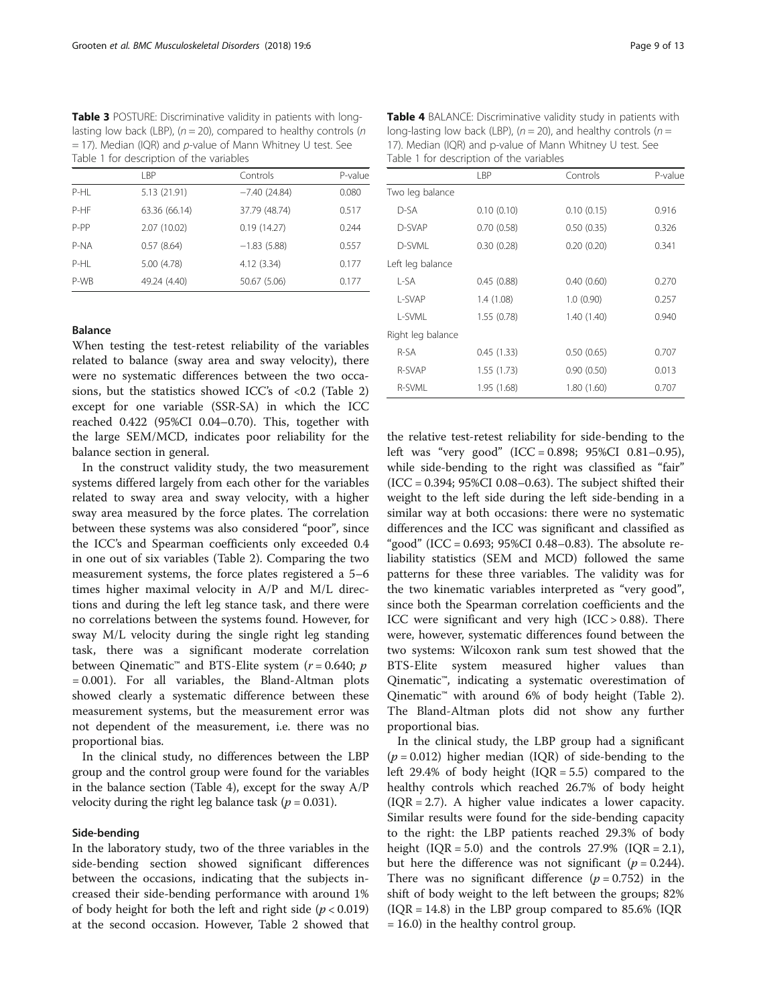<span id="page-8-0"></span>Table 3 POSTURE: Discriminative validity in patients with longlasting low back (LBP), ( $n = 20$ ), compared to healthy controls ( $n$ )  $=$  17). Median (IQR) and p-value of Mann Whitney U test. See Table [1](#page-4-0) for description of the variables

|        | I BP          | Controls       | P-value |
|--------|---------------|----------------|---------|
| $P-HI$ | 5.13 (21.91)  | $-7.40(24.84)$ | 0.080   |
| P-HF   | 63.36 (66.14) | 37.79 (48.74)  | 0.517   |
| P-PP   | 2.07 (10.02)  | 0.19(14.27)    | 0.244   |
| P-NA   | 0.57(8.64)    | $-1.83(5.88)$  | 0.557   |
| P-HI   | 5.00 (4.78)   | 4.12 (3.34)    | 0.177   |
| P-WB   | 49.24 (4.40)  | 50.67 (5.06)   | 0.177   |

## Balance

When testing the test-retest reliability of the variables related to balance (sway area and sway velocity), there were no systematic differences between the two occasions, but the statistics showed ICC's of <0.2 (Table [2](#page-7-0)) except for one variable (SSR-SA) in which the ICC reached 0.422 (95%CI 0.04–0.70). This, together with the large SEM/MCD, indicates poor reliability for the balance section in general.

In the construct validity study, the two measurement systems differed largely from each other for the variables related to sway area and sway velocity, with a higher sway area measured by the force plates. The correlation between these systems was also considered "poor", since the ICC's and Spearman coefficients only exceeded 0.4 in one out of six variables (Table [2](#page-7-0)). Comparing the two measurement systems, the force plates registered a 5–6 times higher maximal velocity in A/P and M/L directions and during the left leg stance task, and there were no correlations between the systems found. However, for sway M/L velocity during the single right leg standing task, there was a significant moderate correlation between Qinematic<sup>™</sup> and BTS-Elite system ( $r = 0.640$ ;  $p$ = 0.001). For all variables, the Bland-Altman plots showed clearly a systematic difference between these measurement systems, but the measurement error was not dependent of the measurement, i.e. there was no proportional bias.

In the clinical study, no differences between the LBP group and the control group were found for the variables in the balance section (Table 4), except for the sway A/P velocity during the right leg balance task ( $p = 0.031$ ).

## Side-bending

In the laboratory study, two of the three variables in the side-bending section showed significant differences between the occasions, indicating that the subjects increased their side-bending performance with around 1% of body height for both the left and right side ( $p < 0.019$ ) at the second occasion. However, Table [2](#page-7-0) showed that

Table 4 BALANCE: Discriminative validity study in patients with long-lasting low back (LBP), ( $n = 20$ ), and healthy controls ( $n =$ 17). Median (IQR) and p-value of Mann Whitney U test. See Table [1](#page-4-0) for description of the variables

|                   | LBP         | Controls   | P-value |
|-------------------|-------------|------------|---------|
| Two leg balance   |             |            |         |
| $D-SA$            | 0.10(0.10)  | 0.10(0.15) | 0.916   |
| D-SVAP            | 0.70(0.58)  | 0.50(0.35) | 0.326   |
| <b>D-SVMI</b>     | 0.30(0.28)  | 0.20(0.20) | 0.341   |
| Left leg balance  |             |            |         |
| $I-SA$            | 0.45(0.88)  | 0.40(0.60) | 0.270   |
| <b>I-SVAP</b>     | 1.4(1.08)   | 1.0(0.90)  | 0.257   |
| l -SVMI           | 1.55(0.78)  | 1.40(1.40) | 0.940   |
| Right leg balance |             |            |         |
| R-SA              | 0.45(1.33)  | 0.50(0.65) | 0.707   |
| R-SVAP            | 1.55(1.73)  | 0.90(0.50) | 0.013   |
| <b>R-SVML</b>     | 1.95 (1.68) | 1.80(1.60) | 0.707   |

the relative test-retest reliability for side-bending to the left was "very good" (ICC = 0.898; 95%CI 0.81–0.95), while side-bending to the right was classified as "fair"  $(ICC = 0.394; 95\% CI 0.08–0.63)$ . The subject shifted their weight to the left side during the left side-bending in a similar way at both occasions: there were no systematic differences and the ICC was significant and classified as "good" (ICC = 0.693;  $95\%$ CI 0.48–0.83). The absolute reliability statistics (SEM and MCD) followed the same patterns for these three variables. The validity was for the two kinematic variables interpreted as "very good", since both the Spearman correlation coefficients and the ICC were significant and very high (ICC > 0.88). There were, however, systematic differences found between the two systems: Wilcoxon rank sum test showed that the BTS-Elite system measured higher values than Qinematic™, indicating a systematic overestimation of Qinematic<sup>™</sup> with around 6% of body height (Table [2](#page-7-0)). The Bland-Altman plots did not show any further proportional bias.

In the clinical study, the LBP group had a significant  $(p = 0.012)$  higher median (IQR) of side-bending to the left 29.4% of body height  $(IQR = 5.5)$  compared to the healthy controls which reached 26.7% of body height  $(IQR = 2.7)$ . A higher value indicates a lower capacity. Similar results were found for the side-bending capacity to the right: the LBP patients reached 29.3% of body height  $(IQR = 5.0)$  and the controls 27.9%  $(IQR = 2.1)$ , but here the difference was not significant ( $p = 0.244$ ). There was no significant difference  $(p = 0.752)$  in the shift of body weight to the left between the groups; 82%  $(IQR = 14.8)$  in the LBP group compared to 85.6% (IQR = 16.0) in the healthy control group.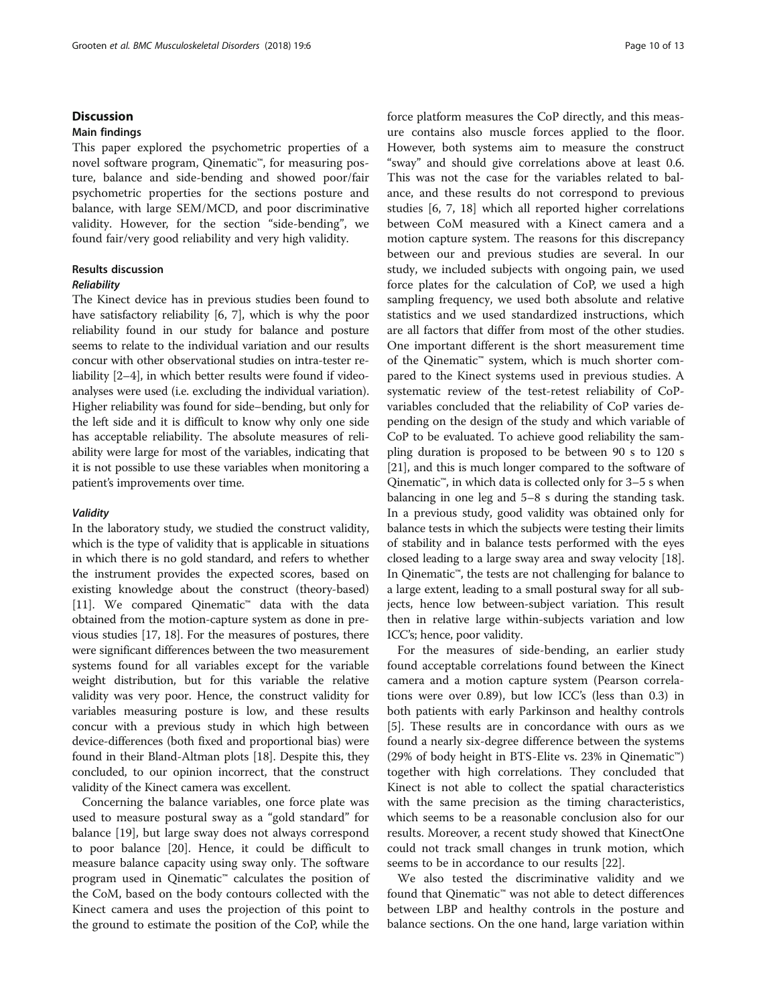# **Discussion**

## Main findings

This paper explored the psychometric properties of a novel software program, Qinematic™, for measuring posture, balance and side-bending and showed poor/fair psychometric properties for the sections posture and balance, with large SEM/MCD, and poor discriminative validity. However, for the section "side-bending", we found fair/very good reliability and very high validity.

# Results discussion **Reliability**

The Kinect device has in previous studies been found to have satisfactory reliability [[6](#page-11-0), [7](#page-11-0)], which is why the poor reliability found in our study for balance and posture seems to relate to the individual variation and our results concur with other observational studies on intra-tester reliability [[2](#page-11-0)–[4](#page-11-0)], in which better results were found if videoanalyses were used (i.e. excluding the individual variation). Higher reliability was found for side–bending, but only for the left side and it is difficult to know why only one side has acceptable reliability. The absolute measures of reliability were large for most of the variables, indicating that it is not possible to use these variables when monitoring a patient's improvements over time.

## Validity

In the laboratory study, we studied the construct validity, which is the type of validity that is applicable in situations in which there is no gold standard, and refers to whether the instrument provides the expected scores, based on existing knowledge about the construct (theory-based) [[11](#page-12-0)]. We compared Qinematic™ data with the data obtained from the motion-capture system as done in previous studies [\[17](#page-12-0), [18\]](#page-12-0). For the measures of postures, there were significant differences between the two measurement systems found for all variables except for the variable weight distribution, but for this variable the relative validity was very poor. Hence, the construct validity for variables measuring posture is low, and these results concur with a previous study in which high between device-differences (both fixed and proportional bias) were found in their Bland-Altman plots [\[18\]](#page-12-0). Despite this, they concluded, to our opinion incorrect, that the construct validity of the Kinect camera was excellent.

Concerning the balance variables, one force plate was used to measure postural sway as a "gold standard" for balance [[19\]](#page-12-0), but large sway does not always correspond to poor balance [\[20\]](#page-12-0). Hence, it could be difficult to measure balance capacity using sway only. The software program used in Qinematic™ calculates the position of the CoM, based on the body contours collected with the Kinect camera and uses the projection of this point to the ground to estimate the position of the CoP, while the force platform measures the CoP directly, and this measure contains also muscle forces applied to the floor. However, both systems aim to measure the construct "sway" and should give correlations above at least 0.6. This was not the case for the variables related to balance, and these results do not correspond to previous studies [\[6](#page-11-0), [7](#page-11-0), [18](#page-12-0)] which all reported higher correlations between CoM measured with a Kinect camera and a motion capture system. The reasons for this discrepancy between our and previous studies are several. In our study, we included subjects with ongoing pain, we used force plates for the calculation of CoP, we used a high sampling frequency, we used both absolute and relative statistics and we used standardized instructions, which are all factors that differ from most of the other studies. One important different is the short measurement time of the Qinematic™ system, which is much shorter compared to the Kinect systems used in previous studies. A systematic review of the test-retest reliability of CoPvariables concluded that the reliability of CoP varies depending on the design of the study and which variable of CoP to be evaluated. To achieve good reliability the sampling duration is proposed to be between 90 s to 120 s [[21](#page-12-0)], and this is much longer compared to the software of Qinematic<sup>™</sup>, in which data is collected only for  $3-5$  s when balancing in one leg and 5–8 s during the standing task. In a previous study, good validity was obtained only for balance tests in which the subjects were testing their limits of stability and in balance tests performed with the eyes closed leading to a large sway area and sway velocity [[18](#page-12-0)]. In Qinematic™, the tests are not challenging for balance to a large extent, leading to a small postural sway for all subjects, hence low between-subject variation. This result then in relative large within-subjects variation and low ICC's; hence, poor validity.

For the measures of side-bending, an earlier study found acceptable correlations found between the Kinect camera and a motion capture system (Pearson correlations were over 0.89), but low ICC's (less than 0.3) in both patients with early Parkinson and healthy controls [[5\]](#page-11-0). These results are in concordance with ours as we found a nearly six-degree difference between the systems (29% of body height in BTS-Elite vs. 23% in Qinematic™) together with high correlations. They concluded that Kinect is not able to collect the spatial characteristics with the same precision as the timing characteristics, which seems to be a reasonable conclusion also for our results. Moreover, a recent study showed that KinectOne could not track small changes in trunk motion, which seems to be in accordance to our results [[22\]](#page-12-0).

We also tested the discriminative validity and we found that Qinematic™ was not able to detect differences between LBP and healthy controls in the posture and balance sections. On the one hand, large variation within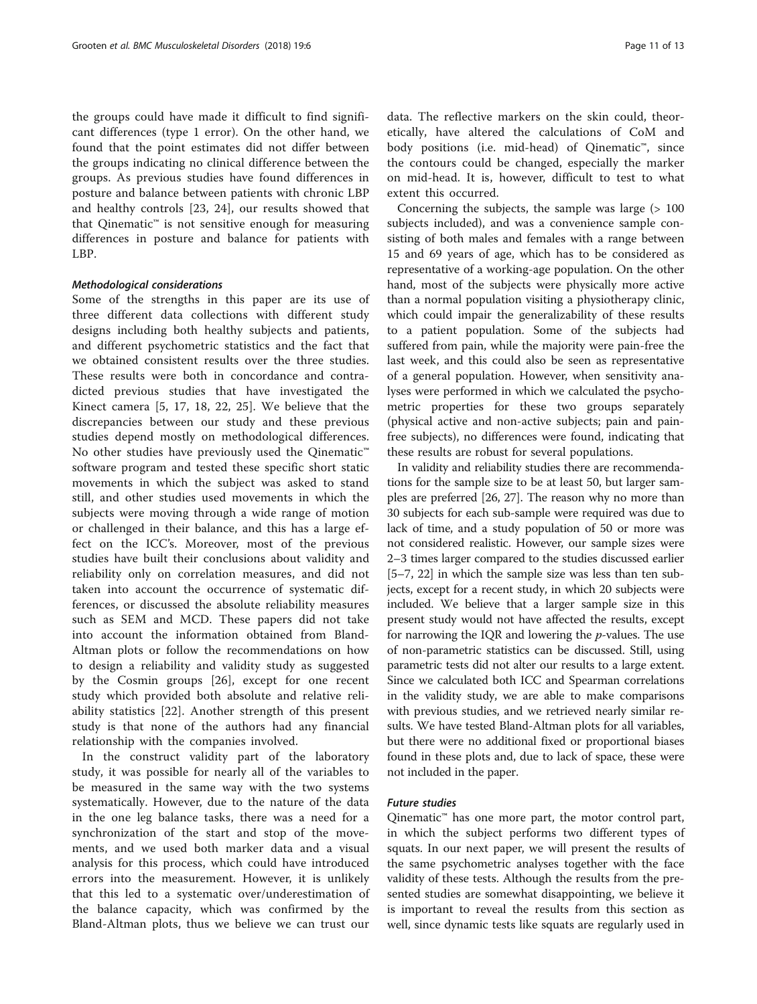the groups could have made it difficult to find significant differences (type 1 error). On the other hand, we found that the point estimates did not differ between the groups indicating no clinical difference between the groups. As previous studies have found differences in posture and balance between patients with chronic LBP and healthy controls [\[23](#page-12-0), [24\]](#page-12-0), our results showed that that Oinematic<sup>™</sup> is not sensitive enough for measuring differences in posture and balance for patients with LBP.

# Methodological considerations

Some of the strengths in this paper are its use of three different data collections with different study designs including both healthy subjects and patients, and different psychometric statistics and the fact that we obtained consistent results over the three studies. These results were both in concordance and contradicted previous studies that have investigated the Kinect camera [\[5](#page-11-0), [17, 18](#page-12-0), [22](#page-12-0), [25\]](#page-12-0). We believe that the discrepancies between our study and these previous studies depend mostly on methodological differences. No other studies have previously used the Qinematic™ software program and tested these specific short static movements in which the subject was asked to stand still, and other studies used movements in which the subjects were moving through a wide range of motion or challenged in their balance, and this has a large effect on the ICC's. Moreover, most of the previous studies have built their conclusions about validity and reliability only on correlation measures, and did not taken into account the occurrence of systematic differences, or discussed the absolute reliability measures such as SEM and MCD. These papers did not take into account the information obtained from Bland-Altman plots or follow the recommendations on how to design a reliability and validity study as suggested by the Cosmin groups [\[26](#page-12-0)], except for one recent study which provided both absolute and relative reliability statistics [[22\]](#page-12-0). Another strength of this present study is that none of the authors had any financial relationship with the companies involved.

In the construct validity part of the laboratory study, it was possible for nearly all of the variables to be measured in the same way with the two systems systematically. However, due to the nature of the data in the one leg balance tasks, there was a need for a synchronization of the start and stop of the movements, and we used both marker data and a visual analysis for this process, which could have introduced errors into the measurement. However, it is unlikely that this led to a systematic over/underestimation of the balance capacity, which was confirmed by the Bland-Altman plots, thus we believe we can trust our

data. The reflective markers on the skin could, theoretically, have altered the calculations of CoM and body positions (i.e. mid-head) of Qinematic™, since the contours could be changed, especially the marker on mid-head. It is, however, difficult to test to what extent this occurred.

Concerning the subjects, the sample was large  $($   $>$  100 subjects included), and was a convenience sample consisting of both males and females with a range between 15 and 69 years of age, which has to be considered as representative of a working-age population. On the other hand, most of the subjects were physically more active than a normal population visiting a physiotherapy clinic, which could impair the generalizability of these results to a patient population. Some of the subjects had suffered from pain, while the majority were pain-free the last week, and this could also be seen as representative of a general population. However, when sensitivity analyses were performed in which we calculated the psychometric properties for these two groups separately (physical active and non-active subjects; pain and painfree subjects), no differences were found, indicating that these results are robust for several populations.

In validity and reliability studies there are recommendations for the sample size to be at least 50, but larger samples are preferred [[26, 27](#page-12-0)]. The reason why no more than 30 subjects for each sub-sample were required was due to lack of time, and a study population of 50 or more was not considered realistic. However, our sample sizes were 2–3 times larger compared to the studies discussed earlier [[5](#page-11-0)–[7](#page-11-0), [22](#page-12-0)] in which the sample size was less than ten subjects, except for a recent study, in which 20 subjects were included. We believe that a larger sample size in this present study would not have affected the results, except for narrowing the IQR and lowering the  $p$ -values. The use of non-parametric statistics can be discussed. Still, using parametric tests did not alter our results to a large extent. Since we calculated both ICC and Spearman correlations in the validity study, we are able to make comparisons with previous studies, and we retrieved nearly similar results. We have tested Bland-Altman plots for all variables, but there were no additional fixed or proportional biases found in these plots and, due to lack of space, these were not included in the paper.

# Future studies

Qinematic™ has one more part, the motor control part, in which the subject performs two different types of squats. In our next paper, we will present the results of the same psychometric analyses together with the face validity of these tests. Although the results from the presented studies are somewhat disappointing, we believe it is important to reveal the results from this section as well, since dynamic tests like squats are regularly used in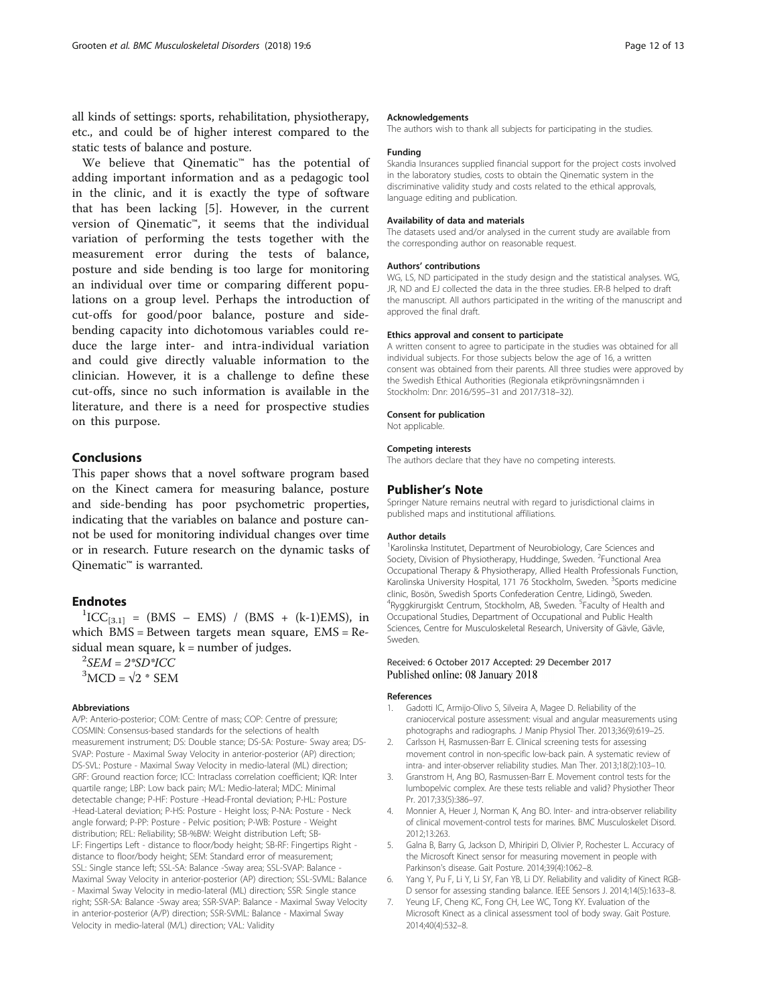<span id="page-11-0"></span>all kinds of settings: sports, rehabilitation, physiotherapy, etc., and could be of higher interest compared to the static tests of balance and posture.

We believe that Qinematic™ has the potential of adding important information and as a pedagogic tool in the clinic, and it is exactly the type of software that has been lacking [5]. However, in the current version of Qinematic™, it seems that the individual variation of performing the tests together with the measurement error during the tests of balance, posture and side bending is too large for monitoring an individual over time or comparing different populations on a group level. Perhaps the introduction of cut-offs for good/poor balance, posture and sidebending capacity into dichotomous variables could reduce the large inter- and intra-individual variation and could give directly valuable information to the clinician. However, it is a challenge to define these cut-offs, since no such information is available in the literature, and there is a need for prospective studies on this purpose.

# Conclusions

This paper shows that a novel software program based on the Kinect camera for measuring balance, posture and side-bending has poor psychometric properties, indicating that the variables on balance and posture cannot be used for monitoring individual changes over time or in research. Future research on the dynamic tasks of Qinematic™ is warranted.

# **Endnotes**

 ${}^{1}ICC_{[3,1]} = (BMS - EMS) / (BMS + (k-1)EMS)$ , in which BMS = Between targets mean square, EMS = Residual mean square,  $k =$  number of judges.

 ${}^{2}$ SEM = 2\*SD\*ICC

 ${}^3$ MCD =  $\sqrt{2}$  \* SEM

#### Abbreviations

A/P: Anterio-posterior; COM: Centre of mass; COP: Centre of pressure; COSMIN: Consensus-based standards for the selections of health measurement instrument; DS: Double stance; DS-SA: Posture- Sway area; DS-SVAP: Posture - Maximal Sway Velocity in anterior-posterior (AP) direction; DS-SVL: Posture - Maximal Sway Velocity in medio-lateral (ML) direction; GRF: Ground reaction force; ICC: Intraclass correlation coefficient; IQR: Inter quartile range; LBP: Low back pain; M/L: Medio-lateral; MDC: Minimal detectable change; P-HF: Posture -Head-Frontal deviation; P-HL: Posture -Head-Lateral deviation; P-HS: Posture - Height loss; P-NA: Posture - Neck angle forward; P-PP: Posture - Pelvic position; P-WB: Posture - Weight distribution; REL: Reliability; SB-%BW: Weight distribution Left; SB-LF: Fingertips Left - distance to floor/body height; SB-RF: Fingertips Right distance to floor/body height; SEM: Standard error of measurement; SSL: Single stance left; SSL-SA: Balance -Sway area; SSL-SVAP: Balance - Maximal Sway Velocity in anterior-posterior (AP) direction; SSL-SVML: Balance - Maximal Sway Velocity in medio-lateral (ML) direction; SSR: Single stance right; SSR-SA: Balance -Sway area; SSR-SVAP: Balance - Maximal Sway Velocity in anterior-posterior (A/P) direction; SSR-SVML: Balance - Maximal Sway Velocity in medio-lateral (M/L) direction; VAL: Validity

#### Acknowledgements

The authors wish to thank all subjects for participating in the studies.

# Funding

Skandia Insurances supplied financial support for the project costs involved in the laboratory studies, costs to obtain the Qinematic system in the discriminative validity study and costs related to the ethical approvals, language editing and publication.

#### Availability of data and materials

The datasets used and/or analysed in the current study are available from the corresponding author on reasonable request.

#### Authors' contributions

WG, LS, ND participated in the study design and the statistical analyses. WG, JR, ND and EJ collected the data in the three studies. ER-B helped to draft the manuscript. All authors participated in the writing of the manuscript and approved the final draft.

#### Ethics approval and consent to participate

A written consent to agree to participate in the studies was obtained for all individual subjects. For those subjects below the age of 16, a written consent was obtained from their parents. All three studies were approved by the Swedish Ethical Authorities (Regionala etikprövningsnämnden i Stockholm: Dnr: 2016/595–31 and 2017/318–32).

#### Consent for publication

Not applicable.

#### Competing interests

The authors declare that they have no competing interests.

# Publisher's Note

Springer Nature remains neutral with regard to jurisdictional claims in published maps and institutional affiliations.

#### Author details

<sup>1</sup> Karolinska Institutet, Department of Neurobiology, Care Sciences and Society, Division of Physiotherapy, Huddinge, Sweden. <sup>2</sup>Functional Area Occupational Therapy & Physiotherapy, Allied Health Professionals Function, Karolinska University Hospital, 171 76 Stockholm, Sweden. <sup>3</sup>Sports medicine clinic, Bosön, Swedish Sports Confederation Centre, Lidingö, Sweden. <sup>4</sup>Ryggkirurgiskt Centrum, Stockholm, AB, Sweden. <sup>5</sup>Faculty of Health and Occupational Studies, Department of Occupational and Public Health Sciences, Centre for Musculoskeletal Research, University of Gävle, Gävle, Sweden.

## Received: 6 October 2017 Accepted: 29 December 2017 Published online: 08 January 2018

#### References

- Gadotti IC, Armijo-Olivo S, Silveira A, Magee D. Reliability of the craniocervical posture assessment: visual and angular measurements using photographs and radiographs. J Manip Physiol Ther. 2013;36(9):619–25.
- 2. Carlsson H, Rasmussen-Barr E. Clinical screening tests for assessing movement control in non-specific low-back pain. A systematic review of intra- and inter-observer reliability studies. Man Ther. 2013;18(2):103–10.
- 3. Granstrom H, Ang BO, Rasmussen-Barr E. Movement control tests for the lumbopelvic complex. Are these tests reliable and valid? Physiother Theor Pr. 2017;33(5):386–97.
- 4. Monnier A, Heuer J, Norman K, Ang BO. Inter- and intra-observer reliability of clinical movement-control tests for marines. BMC Musculoskelet Disord. 2012;13:263.
- 5. Galna B, Barry G, Jackson D, Mhiripiri D, Olivier P, Rochester L. Accuracy of the Microsoft Kinect sensor for measuring movement in people with Parkinson's disease. Gait Posture. 2014;39(4):1062–8.
- 6. Yang Y, Pu F, Li Y, Li SY, Fan YB, Li DY. Reliability and validity of Kinect RGB-D sensor for assessing standing balance. IEEE Sensors J. 2014;14(5):1633–8.
- Yeung LF, Cheng KC, Fong CH, Lee WC, Tong KY. Evaluation of the Microsoft Kinect as a clinical assessment tool of body sway. Gait Posture. 2014;40(4):532–8.